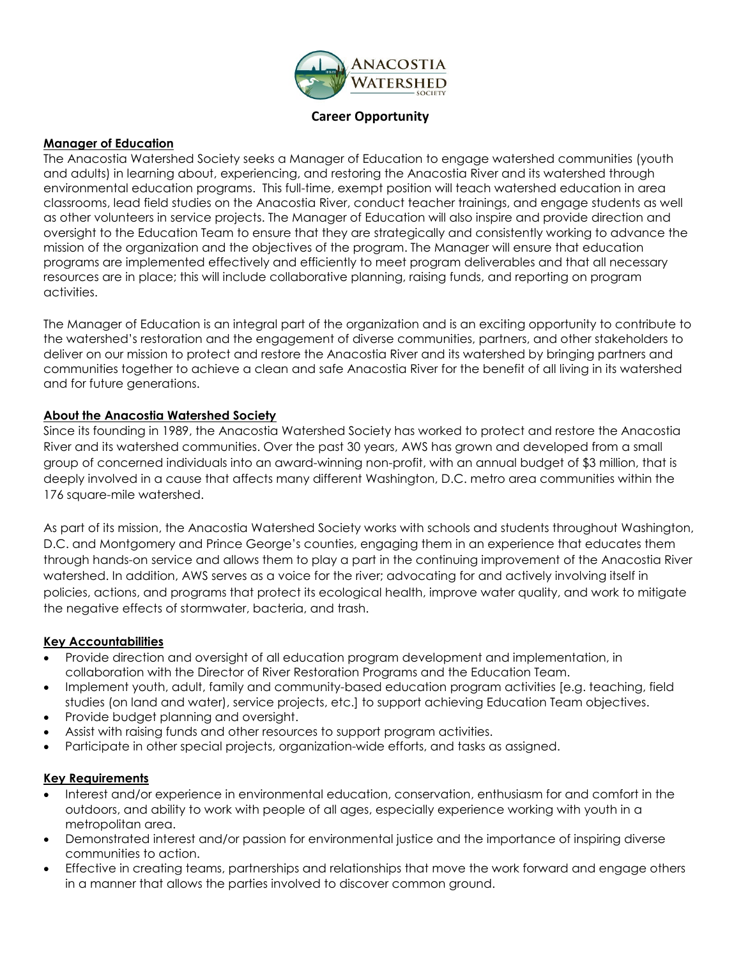

**Career Opportunity**

### **Manager of Education**

The Anacostia Watershed Society seeks a Manager of Education to engage watershed communities (youth and adults) in learning about, experiencing, and restoring the Anacostia River and its watershed through environmental education programs. This full-time, exempt position will teach watershed education in area classrooms, lead field studies on the Anacostia River, conduct teacher trainings, and engage students as well as other volunteers in service projects. The Manager of Education will also inspire and provide direction and oversight to the Education Team to ensure that they are strategically and consistently working to advance the mission of the organization and the objectives of the program. The Manager will ensure that education programs are implemented effectively and efficiently to meet program deliverables and that all necessary resources are in place; this will include collaborative planning, raising funds, and reporting on program activities.

The Manager of Education is an integral part of the organization and is an exciting opportunity to contribute to the watershed's restoration and the engagement of diverse communities, partners, and other stakeholders to deliver on our mission to protect and restore the Anacostia River and its watershed by bringing partners and communities together to achieve a clean and safe Anacostia River for the benefit of all living in its watershed and for future generations.

### **About the Anacostia Watershed Society**

Since its founding in 1989, the Anacostia Watershed Society has worked to protect and restore the Anacostia River and its watershed communities. Over the past 30 years, AWS has grown and developed from a small group of concerned individuals into an award-winning non-profit, with an annual budget of \$3 million, that is deeply involved in a cause that affects many different Washington, D.C. metro area communities within the 176 square-mile watershed.

As part of its mission, the Anacostia Watershed Society works with schools and students throughout Washington, D.C. and Montgomery and Prince George's counties, engaging them in an experience that educates them through hands-on service and allows them to play a part in the continuing improvement of the Anacostia River watershed. In addition, AWS serves as a voice for the river; advocating for and actively involving itself in policies, actions, and programs that protect its ecological health, improve water quality, and work to mitigate the negative effects of stormwater, bacteria, and trash.

#### **Key Accountabilities**

- Provide direction and oversight of all education program development and implementation, in collaboration with the Director of River Restoration Programs and the Education Team.
- Implement youth, adult, family and community-based education program activities [e.g. teaching, field studies (on land and water), service projects, etc.] to support achieving Education Team objectives.
- Provide budget planning and oversight.
- Assist with raising funds and other resources to support program activities.
- Participate in other special projects, organization-wide efforts, and tasks as assigned.

#### **Key Requirements**

- Interest and/or experience in environmental education, conservation, enthusiasm for and comfort in the outdoors, and ability to work with people of all ages, especially experience working with youth in a metropolitan area.
- Demonstrated interest and/or passion for environmental justice and the importance of inspiring diverse communities to action.
- Effective in creating teams, partnerships and relationships that move the work forward and engage others in a manner that allows the parties involved to discover common ground.